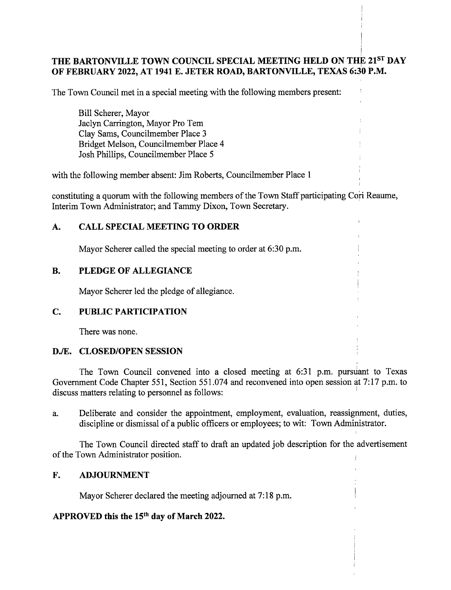# THE BARTONVILLE TOWN COUNCIL SPECIAL MEETING HELD ON THE 21ST DAY OF FEBRUARY 2022, AT 1941 E. JETER ROAD, BARTONVILLE, TEXAS 6:30 P.M.

The Town Council met in a special meeting with the following members present: '

Bill Scherer, Mayor Jaclyn Carrington, Mayor Pro Tern Clay Sams, Councilmember Place 3 Bridget Melson, Councilmember Place 4 Josh Phillips, Councilmember Place 5

with the following member absent: Jim Roberts, Councilmember Place <sup>1</sup>

constituting <sup>a</sup> quorum with the following members of the Town Staff participating Cori Reaume, Interim Town Administrator; and Tammy Dixon, Town Secretary.

## A. CALL SPECIAL MEETING TO ORDER

Mayor Scherer called the special meeting to order at 6:30 p.m.

## B. PLEDGE OF ALLEGIANCE

Mayor Scherer led the pledge of allegiance.

## C. PUBLIC PARTICIPATION

There was none.

#### D./E. CLOSED/OPEN SESSION

The Town Council convened into a closed meeting at 6:31 p.m. pursuant to Texas Government Code Chapter 551, Section 551.074 and reconvened into open session at 7:17 p.m. to discuss matters relating to personnel as follows:

a. Deliberate and consider the appointment, employment, evaluation, reassignment, duties, discipline or dismissal of <sup>a</sup> public officers or employees; to wit: Town Administrator.

The Town Council directed staff to draft an updated job description for the advertisement of the Town Administrator position.

#### F. ADJOURNMENT

Mayor Scherer declared the meeting adjourned at 7:18 p.m.

#### APPROVED this the 15<sup>th</sup> day of March 2022.